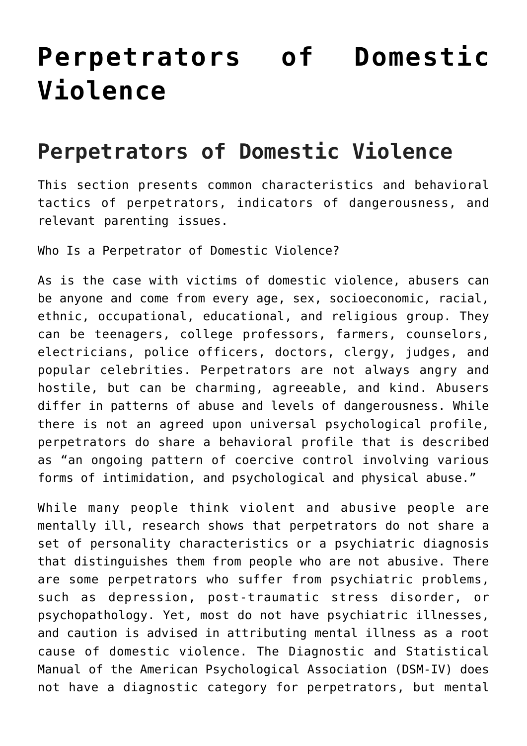## **[Perpetrators of Domestic](https://greenhaven4help.com/perpetrators-of-domestic-violence/) [Violence](https://greenhaven4help.com/perpetrators-of-domestic-violence/)**

## **Perpetrators of Domestic Violence**

This section presents common characteristics and behavioral tactics of perpetrators, indicators of dangerousness, and relevant parenting issues.

Who Is a Perpetrator of Domestic Violence?

As is the case with victims of domestic violence, abusers can be anyone and come from every age, sex, socioeconomic, racial, ethnic, occupational, educational, and religious group. They can be teenagers, college professors, farmers, counselors, electricians, police officers, doctors, clergy, judges, and popular celebrities. Perpetrators are not always angry and hostile, but can be charming, agreeable, and kind. Abusers differ in patterns of abuse and levels of dangerousness. While there is not an agreed upon universal psychological profile, perpetrators do share a behavioral profile that is described as "an ongoing pattern of coercive control involving various forms of intimidation, and psychological and physical abuse."

While many people think violent and abusive people are mentally ill, research shows that perpetrators do not share a set of personality characteristics or a psychiatric diagnosis that distinguishes them from people who are not abusive. There are some perpetrators who suffer from psychiatric problems, such as depression, post-traumatic stress disorder, or psychopathology. Yet, most do not have psychiatric illnesses, and caution is advised in attributing mental illness as a root cause of domestic violence. The Diagnostic and Statistical Manual of the American Psychological Association (DSM-IV) does not have a diagnostic category for perpetrators, but mental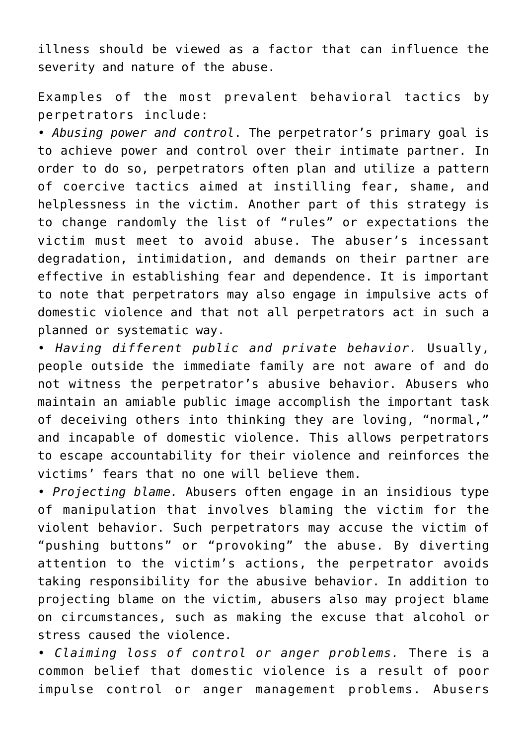illness should be viewed as a factor that can influence the severity and nature of the abuse.

Examples of the most prevalent behavioral tactics by perpetrators include:

• *Abusing power and control*. The perpetrator's primary goal is to achieve power and control over their intimate partner. In order to do so, perpetrators often plan and utilize a pattern of coercive tactics aimed at instilling fear, shame, and helplessness in the victim. Another part of this strategy is to change randomly the list of "rules" or expectations the victim must meet to avoid abuse. The abuser's incessant degradation, intimidation, and demands on their partner are effective in establishing fear and dependence. It is important to note that perpetrators may also engage in impulsive acts of domestic violence and that not all perpetrators act in such a planned or systematic way.

• *Having different public and private behavior.* Usually, people outside the immediate family are not aware of and do not witness the perpetrator's abusive behavior. Abusers who maintain an amiable public image accomplish the important task of deceiving others into thinking they are loving, "normal," and incapable of domestic violence. This allows perpetrators to escape accountability for their violence and reinforces the victims' fears that no one will believe them.

• *Projecting blame.* Abusers often engage in an insidious type of manipulation that involves blaming the victim for the violent behavior. Such perpetrators may accuse the victim of "pushing buttons" or "provoking" the abuse. By diverting attention to the victim's actions, the perpetrator avoids taking responsibility for the abusive behavior. In addition to projecting blame on the victim, abusers also may project blame on circumstances, such as making the excuse that alcohol or stress caused the violence.

• *Claiming loss of control or anger problems.* There is a common belief that domestic violence is a result of poor impulse control or anger management problems. Abusers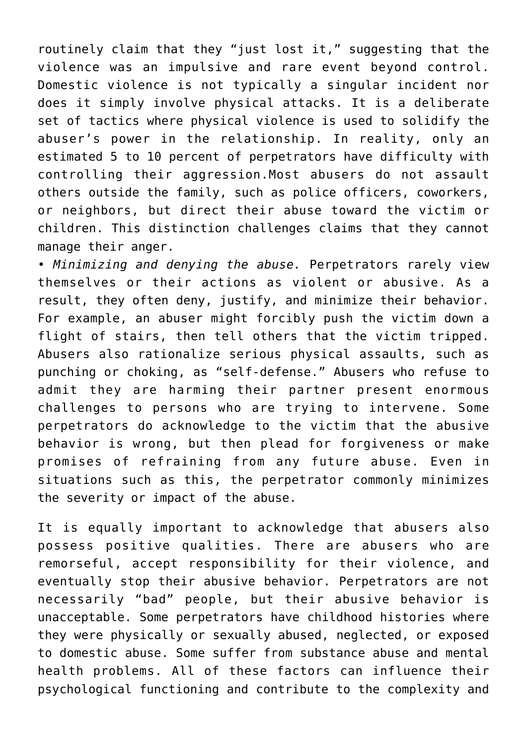routinely claim that they "just lost it," suggesting that the violence was an impulsive and rare event beyond control. Domestic violence is not typically a singular incident nor does it simply involve physical attacks. It is a deliberate set of tactics where physical violence is used to solidify the abuser's power in the relationship. In reality, only an estimated 5 to 10 percent of perpetrators have difficulty with controlling their aggression.Most abusers do not assault others outside the family, such as police officers, coworkers, or neighbors, but direct their abuse toward the victim or children. This distinction challenges claims that they cannot manage their anger.

• *Minimizing and denying the abuse.* Perpetrators rarely view themselves or their actions as violent or abusive. As a result, they often deny, justify, and minimize their behavior. For example, an abuser might forcibly push the victim down a flight of stairs, then tell others that the victim tripped. Abusers also rationalize serious physical assaults, such as punching or choking, as "self-defense." Abusers who refuse to admit they are harming their partner present enormous challenges to persons who are trying to intervene. Some perpetrators do acknowledge to the victim that the abusive behavior is wrong, but then plead for forgiveness or make promises of refraining from any future abuse. Even in situations such as this, the perpetrator commonly minimizes the severity or impact of the abuse.

It is equally important to acknowledge that abusers also possess positive qualities. There are abusers who are remorseful, accept responsibility for their violence, and eventually stop their abusive behavior. Perpetrators are not necessarily "bad" people, but their abusive behavior is unacceptable. Some perpetrators have childhood histories where they were physically or sexually abused, neglected, or exposed to domestic abuse. Some suffer from substance abuse and mental health problems. All of these factors can influence their psychological functioning and contribute to the complexity and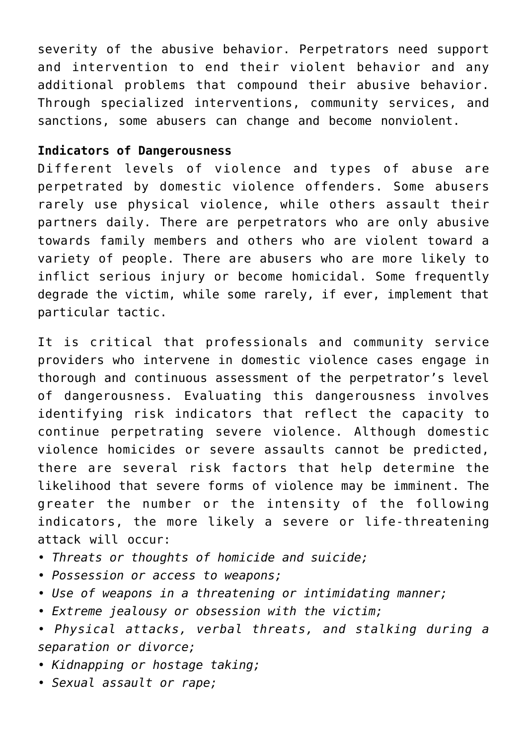severity of the abusive behavior. Perpetrators need support and intervention to end their violent behavior and any additional problems that compound their abusive behavior. Through specialized interventions, community services, and sanctions, some abusers can change and become nonviolent.

## **Indicators of Dangerousness**

Different levels of violence and types of abuse are perpetrated by domestic violence offenders. Some abusers rarely use physical violence, while others assault their partners daily. There are perpetrators who are only abusive towards family members and others who are violent toward a variety of people. There are abusers who are more likely to inflict serious injury or become homicidal. Some frequently degrade the victim, while some rarely, if ever, implement that particular tactic.

It is critical that professionals and community service providers who intervene in domestic violence cases engage in thorough and continuous assessment of the perpetrator's level of dangerousness. Evaluating this dangerousness involves identifying risk indicators that reflect the capacity to continue perpetrating severe violence. Although domestic violence homicides or severe assaults cannot be predicted, there are several risk factors that help determine the likelihood that severe forms of violence may be imminent. The greater the number or the intensity of the following indicators, the more likely a severe or life-threatening attack will occur:

- *Threats or thoughts of homicide and suicide;*
- *Possession or access to weapons;*
- *Use of weapons in a threatening or intimidating manner;*
- *Extreme jealousy or obsession with the victim;*

*• Physical attacks, verbal threats, and stalking during a separation or divorce;*

- *Kidnapping or hostage taking;*
- *Sexual assault or rape;*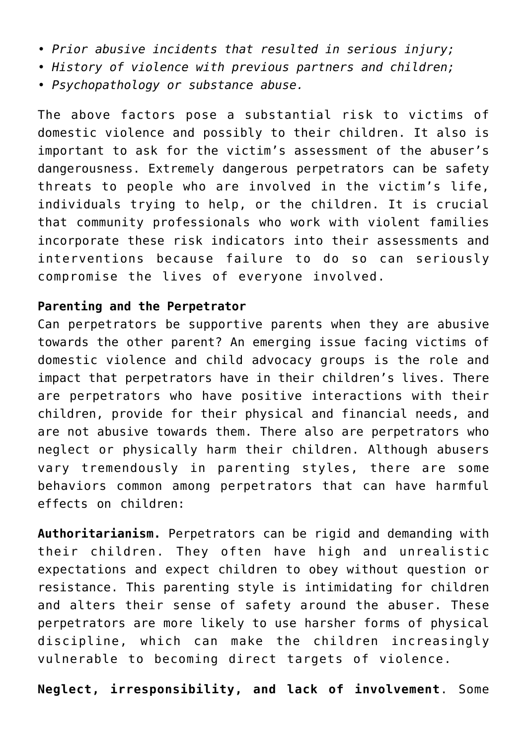- *Prior abusive incidents that resulted in serious injury;*
- *History of violence with previous partners and children;*
- *Psychopathology or substance abuse.*

The above factors pose a substantial risk to victims of domestic violence and possibly to their children. It also is important to ask for the victim's assessment of the abuser's dangerousness. Extremely dangerous perpetrators can be safety threats to people who are involved in the victim's life, individuals trying to help, or the children. It is crucial that community professionals who work with violent families incorporate these risk indicators into their assessments and interventions because failure to do so can seriously compromise the lives of everyone involved.

## **Parenting and the Perpetrator**

Can perpetrators be supportive parents when they are abusive towards the other parent? An emerging issue facing victims of domestic violence and child advocacy groups is the role and impact that perpetrators have in their children's lives. There are perpetrators who have positive interactions with their children, provide for their physical and financial needs, and are not abusive towards them. There also are perpetrators who neglect or physically harm their children. Although abusers vary tremendously in parenting styles, there are some behaviors common among perpetrators that can have harmful effects on children:

**Authoritarianism.** Perpetrators can be rigid and demanding with their children. They often have high and unrealistic expectations and expect children to obey without question or resistance. This parenting style is intimidating for children and alters their sense of safety around the abuser. These perpetrators are more likely to use harsher forms of physical discipline, which can make the children increasingly vulnerable to becoming direct targets of violence.

**Neglect, irresponsibility, and lack of involvement**. Some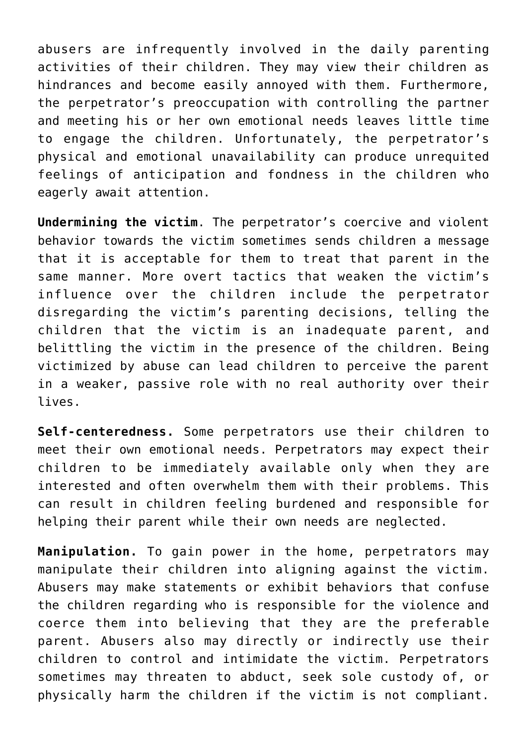abusers are infrequently involved in the daily parenting activities of their children. They may view their children as hindrances and become easily annoyed with them. Furthermore, the perpetrator's preoccupation with controlling the partner and meeting his or her own emotional needs leaves little time to engage the children. Unfortunately, the perpetrator's physical and emotional unavailability can produce unrequited feelings of anticipation and fondness in the children who eagerly await attention.

**Undermining the victim**. The perpetrator's coercive and violent behavior towards the victim sometimes sends children a message that it is acceptable for them to treat that parent in the same manner. More overt tactics that weaken the victim's influence over the children include the perpetrator disregarding the victim's parenting decisions, telling the children that the victim is an inadequate parent, and belittling the victim in the presence of the children. Being victimized by abuse can lead children to perceive the parent in a weaker, passive role with no real authority over their lives.

**Self-centeredness.** Some perpetrators use their children to meet their own emotional needs. Perpetrators may expect their children to be immediately available only when they are interested and often overwhelm them with their problems. This can result in children feeling burdened and responsible for helping their parent while their own needs are neglected.

**Manipulation.** To gain power in the home, perpetrators may manipulate their children into aligning against the victim. Abusers may make statements or exhibit behaviors that confuse the children regarding who is responsible for the violence and coerce them into believing that they are the preferable parent. Abusers also may directly or indirectly use their children to control and intimidate the victim. Perpetrators sometimes may threaten to abduct, seek sole custody of, or physically harm the children if the victim is not compliant.